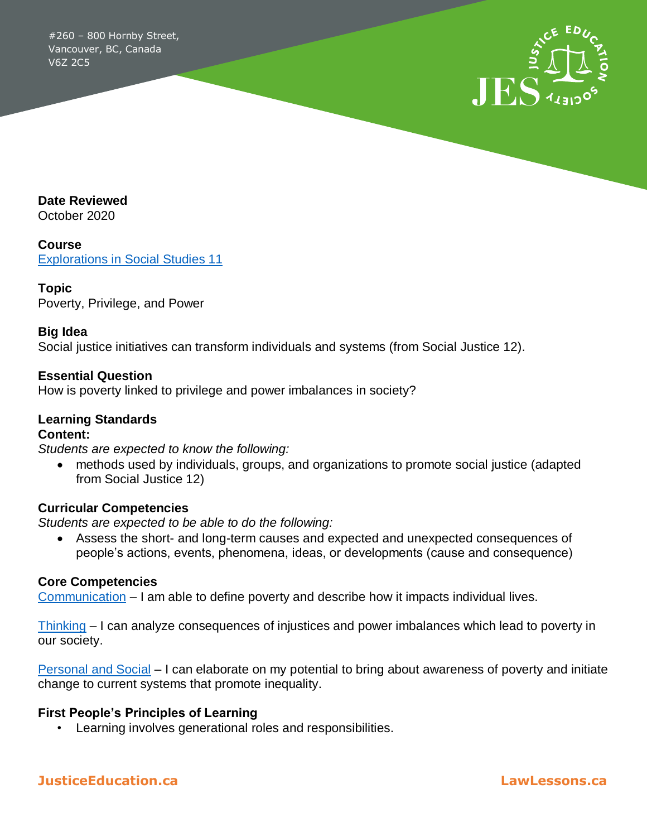#260 – 800 Hornby Street, Vancouver, BC, Canada V6Z 2C5



**Date Reviewed**

October 2020

**Course** [Explorations in Social Studies 11](https://curriculum.gov.bc.ca/curriculum/social-studies/11/explorations-in-social-studies)

#### **Topic**

Poverty, Privilege, and Power

#### **Big Idea**

Social justice initiatives can transform individuals and systems (from Social Justice 12).

#### **Essential Question**

How is poverty linked to privilege and power imbalances in society?

# **Learning Standards**

#### **Content:**

*Students are expected to know the following:* 

 methods used by individuals, groups, and organizations to promote social justice (adapted from Social Justice 12)

#### **Curricular Competencies**

*Students are expected to be able to do the following:* 

 Assess the short- and long-term causes and expected and unexpected consequences of people's actions, events, phenomena, ideas, or developments (cause and consequence)

#### **Core Competencies**

[Communication](https://curriculum.gov.bc.ca/competencies/communication) – I am able to define poverty and describe how it impacts individual lives.

[Thinking](https://curriculum.gov.bc.ca/competencies/thinking) – I can analyze consequences of injustices and power imbalances which lead to poverty in our society.

[Personal and Social](https://curriculum.gov.bc.ca/competencies/personal-and-social) – I can elaborate on my potential to bring about awareness of poverty and initiate change to current systems that promote inequality.

#### **First People's Principles of Learning**

• Learning involves generational roles and responsibilities.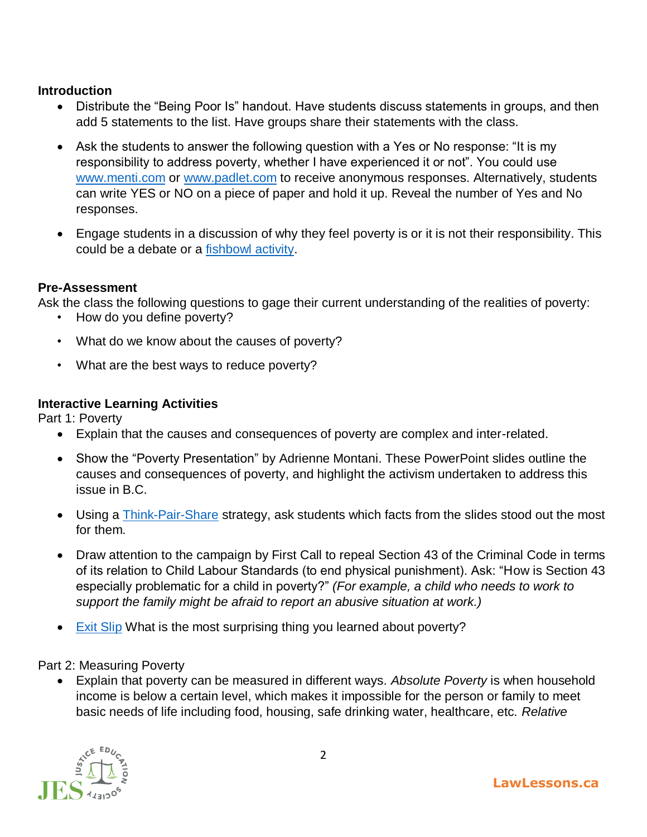# **Introduction**

- Distribute the "Being Poor Is" handout. Have students discuss statements in groups, and then add 5 statements to the list. Have groups share their statements with the class.
- Ask the students to answer the following question with a Yes or No response: "It is my responsibility to address poverty, whether I have experienced it or not". You could use [www.menti.com](http://www.menti.com/) or [www.padlet.com](http://www.padlet.com/) to receive anonymous responses. Alternatively, students can write YES or NO on a piece of paper and hold it up. Reveal the number of Yes and No responses.
- Engage students in a discussion of why they feel poverty is or it is not their responsibility. This could be a debate or a [fishbowl activity.](https://www.tolerance.org/classroom-resources/teaching-strategies/community-inquiry/fishbowl#:~:text=Fishbowl%20is%20a%20strategy%20for,the%20discussion%20and%20take%20notes.)

# **Pre-Assessment**

Ask the class the following questions to gage their current understanding of the realities of poverty:

- How do you define poverty?
- What do we know about the causes of poverty?
- What are the best ways to reduce poverty?

# **Interactive Learning Activities**

Part 1: Poverty

- Explain that the causes and consequences of poverty are complex and inter-related.
- Show the "Poverty Presentation" by Adrienne Montani. These PowerPoint slides outline the causes and consequences of poverty, and highlight the activism undertaken to address this issue in B.C.
- Using a **Think-Pair-Share** strategy, ask students which facts from the slides stood out the most for them.
- Draw attention to the campaign by First Call to repeal Section 43 of the Criminal Code in terms of its relation to Child Labour Standards (to end physical punishment). Ask: "How is Section 43 especially problematic for a child in poverty?" *(For example, a child who needs to work to support the family might be afraid to report an abusive situation at work.)*
- [Exit Slip](http://www.theteachertoolkit.com/index.php/tool/exit-ticket) What is the most surprising thing you learned about poverty?

Part 2: Measuring Poverty

 Explain that poverty can be measured in different ways. *Absolute Poverty* is when household income is below a certain level, which makes it impossible for the person or family to meet basic needs of life including food, housing, safe drinking water, healthcare, etc. *Relative* 

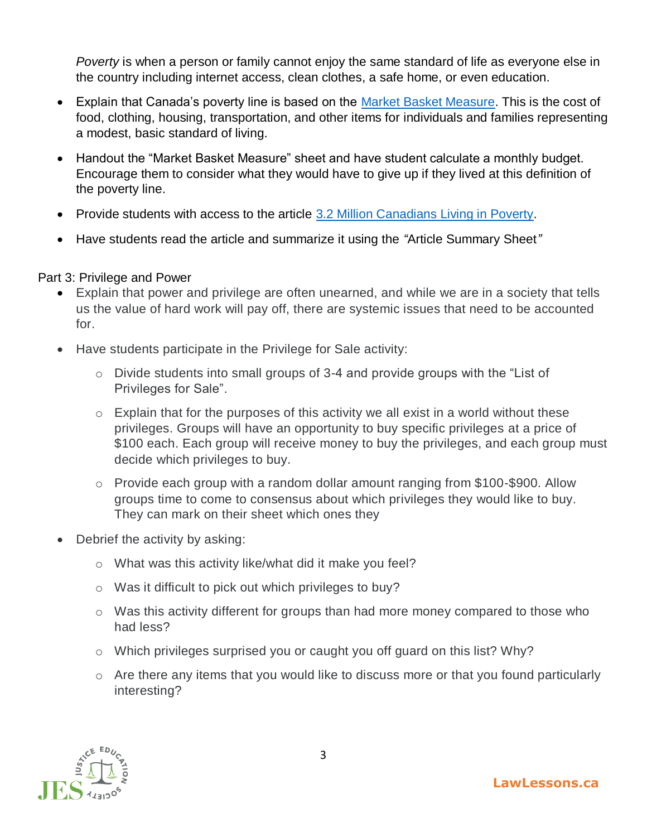*Poverty* is when a person or family cannot enjoy the same standard of life as everyone else in the country including internet access, clean clothes, a safe home, or even education.

- Explain that Canada's poverty line is based on the [Market Basket Measure.](https://www150.statcan.gc.ca/n1/pub/75f0002m/75f0002m2019009-eng.htm) This is the cost of food, clothing, housing, transportation, and other items for individuals and families representing a modest, basic standard of living.
- Handout the "Market Basket Measure" sheet and have student calculate a monthly budget. Encourage them to consider what they would have to give up if they lived at this definition of the poverty line.
- Provide students with access to the article [3.2 Million Canadians Living in Poverty.](https://globalnews.ca/news/6590433/statistics-canada-poverty-report-2020/)
- Have students read the article and summarize it using the *"*Article Summary Sheet*"*

#### Part 3: Privilege and Power

- Explain that power and privilege are often unearned, and while we are in a society that tells us the value of hard work will pay off, there are systemic issues that need to be accounted for.
- Have students participate in the Privilege for Sale activity:
	- o Divide students into small groups of 3-4 and provide groups with the "List of Privileges for Sale".
	- $\circ$  Explain that for the purposes of this activity we all exist in a world without these privileges. Groups will have an opportunity to buy specific privileges at a price of \$100 each. Each group will receive money to buy the privileges, and each group must decide which privileges to buy.
	- o Provide each group with a random dollar amount ranging from \$100-\$900. Allow groups time to come to consensus about which privileges they would like to buy. They can mark on their sheet which ones they
- Debrief the activity by asking:
	- o What was this activity like/what did it make you feel?
	- o Was it difficult to pick out which privileges to buy?
	- o Was this activity different for groups than had more money compared to those who had less?
	- o Which privileges surprised you or caught you off guard on this list? Why?
	- o Are there any items that you would like to discuss more or that you found particularly interesting?

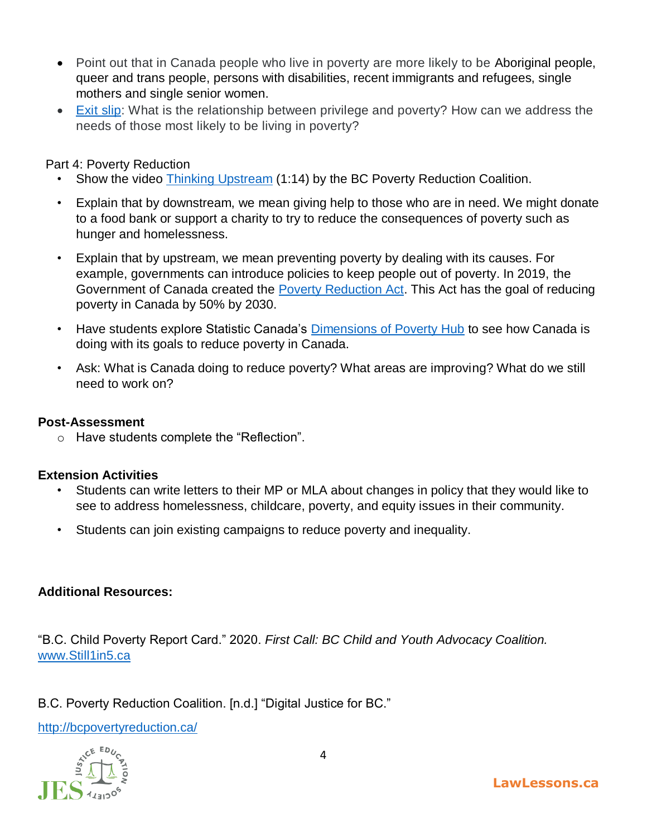- Point out that in Canada people who live in poverty are more likely to be Aboriginal people, queer and trans people, persons with disabilities, recent immigrants and refugees, single mothers and single senior women.
- [Exit slip:](http://www.theteachertoolkit.com/index.php/tool/exit-ticket) What is the relationship between privilege and poverty? How can we address the needs of those most likely to be living in poverty?

# Part 4: Poverty Reduction

- Show the video [Thinking Upstream](https://www.youtube.com/watch?v=0vOwn_WXs3U&feature=emb_logo) (1:14) by the BC Poverty Reduction Coalition.
- Explain that by downstream, we mean giving help to those who are in need. We might donate to a food bank or support a charity to try to reduce the consequences of poverty such as hunger and homelessness.
- Explain that by upstream, we mean preventing poverty by dealing with its causes. For example, governments can introduce policies to keep people out of poverty. In 2019, the Government of Canada created the [Poverty Reduction Act.](https://www.canada.ca/en/employment-social-development/programs/results/poverty-reduction.html) This Act has the goal of reducing poverty in Canada by 50% by 2030.
- Have students explore Statistic Canada's [Dimensions of Poverty Hub](https://www.statcan.gc.ca/eng/topics-start/poverty) to see how Canada is doing with its goals to reduce poverty in Canada.
- Ask: What is Canada doing to reduce poverty? What areas are improving? What do we still need to work on?

#### **Post-Assessment**

o Have students complete the "Reflection".

#### **Extension Activities**

- Students can write letters to their MP or MLA about changes in policy that they would like to see to address homelessness, childcare, poverty, and equity issues in their community.
- Students can join existing campaigns to reduce poverty and inequality.

# **Additional Resources:**

"B.C. Child Poverty Report Card." 2020. *First Call: BC Child and Youth Advocacy Coalition.*  [www.Still1in5.ca](http://www.still1in5.ca/)

B.C. Poverty Reduction Coalition. [n.d.] "Digital Justice for BC."

<http://bcpovertyreduction.ca/>

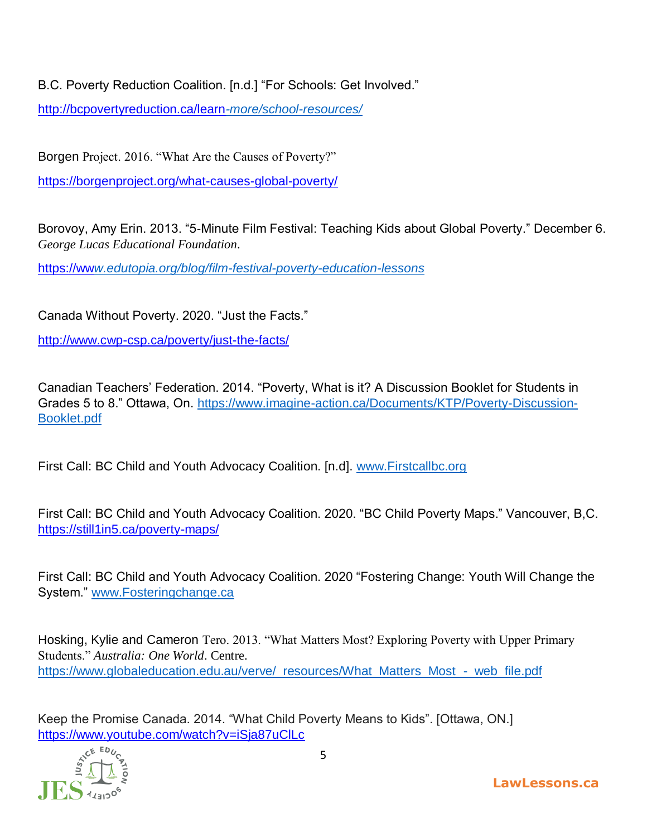B.C. Poverty Reduction Coalition. [n.d.] "For Schools: Get Involved."

[http://bcpovertyreduction.ca/learn](http://bcpovertyreduction.ca/learn-more/school-resources/)*-more/school-resources/* 

Borgen Project. 2016. "What Are the Causes of Poverty?"

<https://borgenproject.org/what-causes-global-poverty/>

Borovoy, Amy Erin. 2013. "5-Minute Film Festival: Teaching Kids about Global Poverty." December 6. *George Lucas Educational Foundation*.

https://ww*[w.edutopia.org/blog/film-festival-poverty-education-lessons](https://www.edutopia.org/blog/film-festival-poverty-education-lessons)* 

Canada Without Poverty. 2020. "Just the Facts."

<http://www.cwp-csp.ca/poverty/just-the-facts/>

Canadian Teachers' Federation. 2014. "Poverty, What is it? A Discussion Booklet for Students in Grades 5 to 8." Ottawa, On. [https://www.imagine-action.ca/Documents/KTP/Poverty-Discussion-](https://www.imagine-action.ca/Documents/KTP/Poverty-Discussion-Booklet.pdf)[Booklet.pdf](https://www.imagine-action.ca/Documents/KTP/Poverty-Discussion-Booklet.pdf)

First Call: BC Child and Youth Advocacy Coalition. [n.d]. [www.Firstcallbc.org](http://www.firstcallbc.org/)

First Call: BC Child and Youth Advocacy Coalition. 2020. "BC Child Poverty Maps." Vancouver, B,C. <https://still1in5.ca/poverty-maps/>

First Call: BC Child and Youth Advocacy Coalition. 2020 "Fostering Change: Youth Will Change the System." [www.Fosteringchange.ca](http://www.fosteringchange.ca/)

Hosking, Kylie and Cameron Tero. 2013. "What Matters Most? Exploring Poverty with Upper Primary Students." *Australia: One World*. Centre. [https://www.globaleducation.edu.au/verve/\\_resources/What\\_Matters\\_Most\\_-\\_web\\_file.pdf](https://www.globaleducation.edu.au/verve/_resources/What_Matters_Most_-_web_file.pdf)

Keep the Promise Canada. 2014. "What Child Poverty Means to Kids". [Ottawa, ON.] <https://www.youtube.com/watch?v=iSja87uClLc>



**LawLessons.ca**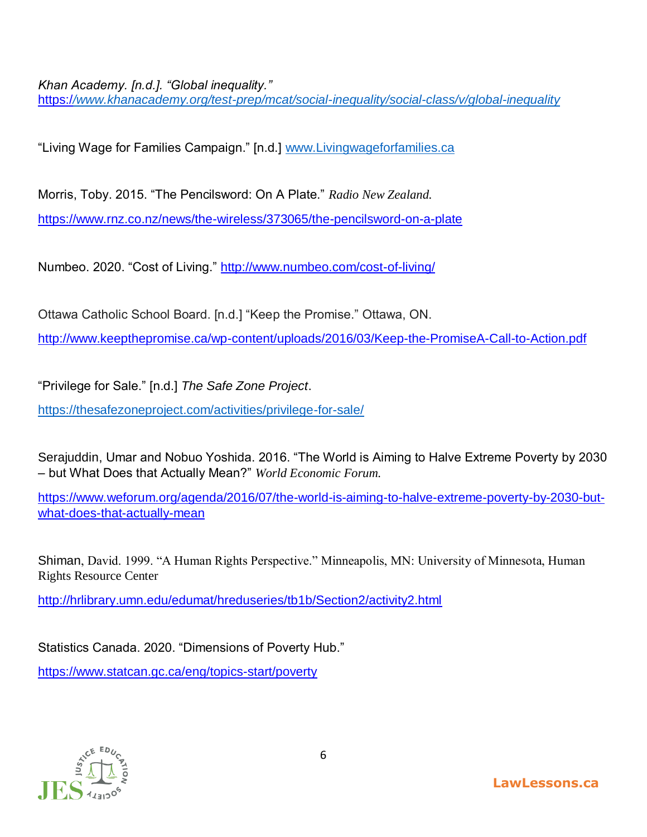*Khan Academy. [n.d.]. "Global inequality."* 

https:/*[/www.khanacademy.org/test-prep/mcat/social-inequality/social-class/v/global-inequality](https://www.khanacademy.org/test-prep/mcat/social-inequality/social-class/v/global-inequality)* 

"Living Wage for Families Campaign." [n.d.] [www.Livingwageforfamilies.ca](http://www.livingwageforfamilies.ca/)

Morris, Toby. 2015. "The Pencilsword: On A Plate." *Radio New Zealand.* <https://www.rnz.co.nz/news/the-wireless/373065/the-pencilsword-on-a-plate>

Numbeo. 2020. "Cost of Living."<http://www.numbeo.com/cost-of-living/>

Ottawa Catholic School Board. [n.d.] "Keep the Promise." Ottawa, ON. <http://www.keepthepromise.ca/wp-content/uploads/2016/03/Keep-the-PromiseA-Call-to-Action.pdf>

"Privilege for Sale." [n.d.] *The Safe Zone Project*.

<https://thesafezoneproject.com/activities/privilege-for-sale/>

Serajuddin, Umar and Nobuo Yoshida. 2016. "The World is Aiming to Halve Extreme Poverty by 2030 – but What Does that Actually Mean?" *World Economic Forum.*

[https://www.weforum.org/agenda/2016/07/the-world-is-aiming-to-halve-extreme-poverty-by-2030-but](https://www.weforum.org/agenda/2016/07/the-world-is-aiming-to-halve-extreme-poverty-by-2030-but-what-does-that-actually-mean)[what-does-that-actually-mean](https://www.weforum.org/agenda/2016/07/the-world-is-aiming-to-halve-extreme-poverty-by-2030-but-what-does-that-actually-mean) 

Shiman, David. 1999. "A Human Rights Perspective." Minneapolis, MN: University of Minnesota, Human Rights Resource Center

<http://hrlibrary.umn.edu/edumat/hreduseries/tb1b/Section2/activity2.html>

Statistics Canada. 2020. "Dimensions of Poverty Hub."

<https://www.statcan.gc.ca/eng/topics-start/poverty>

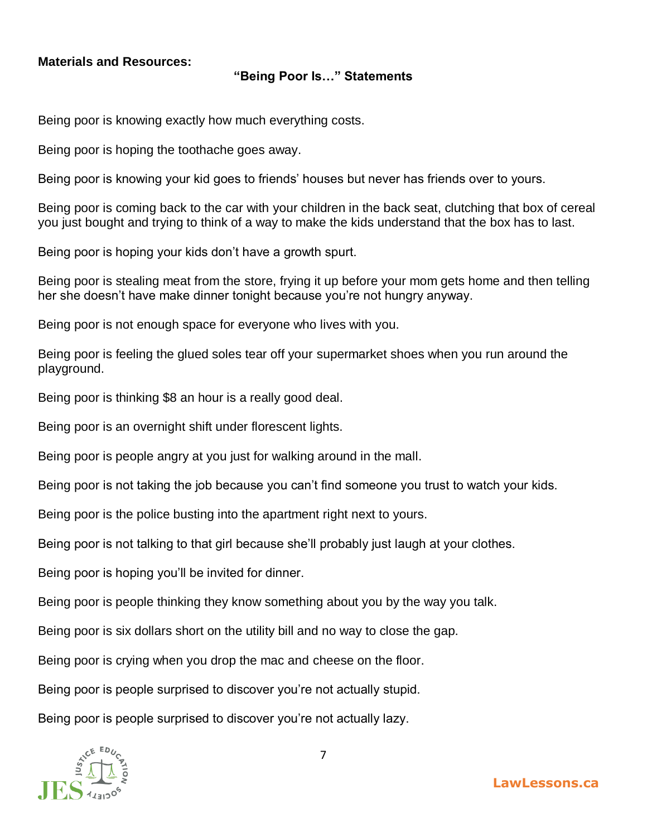### **Materials and Resources:**

#### **"Being Poor Is…" Statements**

Being poor is knowing exactly how much everything costs.

Being poor is hoping the toothache goes away.

Being poor is knowing your kid goes to friends' houses but never has friends over to yours.

Being poor is coming back to the car with your children in the back seat, clutching that box of cereal you just bought and trying to think of a way to make the kids understand that the box has to last.

Being poor is hoping your kids don't have a growth spurt.

Being poor is stealing meat from the store, frying it up before your mom gets home and then telling her she doesn't have make dinner tonight because you're not hungry anyway.

Being poor is not enough space for everyone who lives with you.

Being poor is feeling the glued soles tear off your supermarket shoes when you run around the playground.

Being poor is thinking \$8 an hour is a really good deal.

Being poor is an overnight shift under florescent lights.

Being poor is people angry at you just for walking around in the mall.

Being poor is not taking the job because you can't find someone you trust to watch your kids.

Being poor is the police busting into the apartment right next to yours.

Being poor is not talking to that girl because she'll probably just laugh at your clothes.

Being poor is hoping you'll be invited for dinner.

Being poor is people thinking they know something about you by the way you talk.

Being poor is six dollars short on the utility bill and no way to close the gap.

Being poor is crying when you drop the mac and cheese on the floor.

Being poor is people surprised to discover you're not actually stupid.

Being poor is people surprised to discover you're not actually lazy.

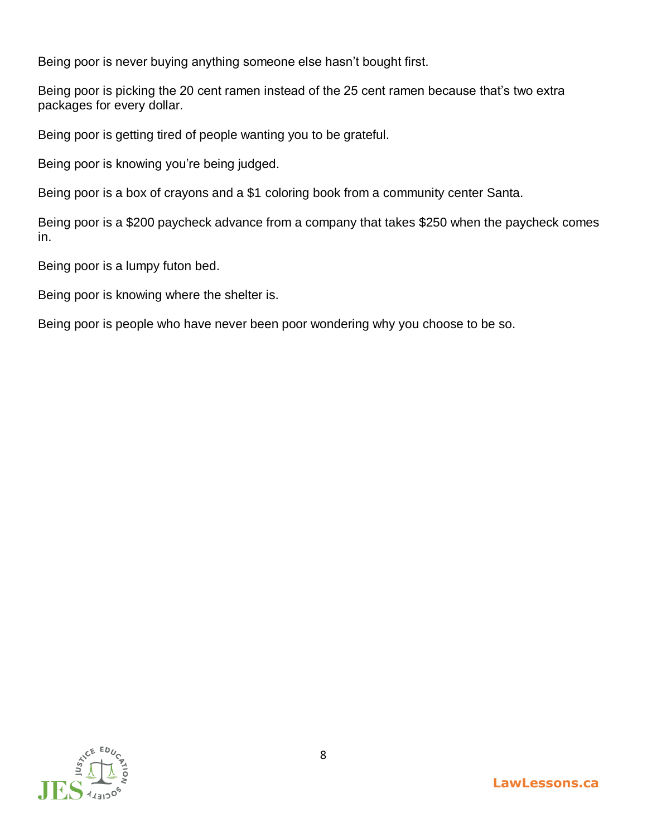Being poor is never buying anything someone else hasn't bought first.

Being poor is picking the 20 cent ramen instead of the 25 cent ramen because that's two extra packages for every dollar.

Being poor is getting tired of people wanting you to be grateful.

Being poor is knowing you're being judged.

Being poor is a box of crayons and a \$1 coloring book from a community center Santa.

Being poor is a \$200 paycheck advance from a company that takes \$250 when the paycheck comes in.

Being poor is a lumpy futon bed.

Being poor is knowing where the shelter is.

Being poor is people who have never been poor wondering why you choose to be so.

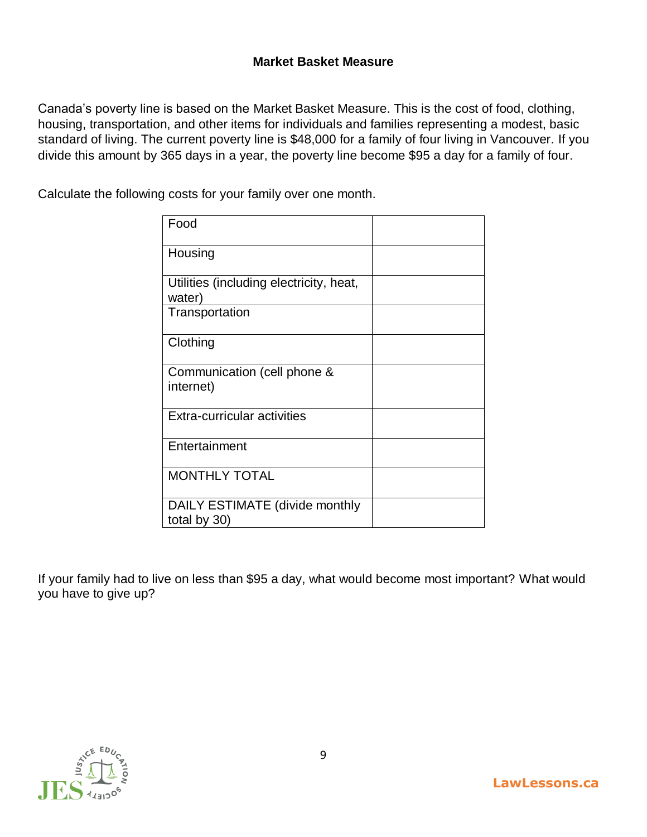# **Market Basket Measure**

Canada's poverty line is based on the Market Basket Measure. This is the cost of food, clothing, housing, transportation, and other items for individuals and families representing a modest, basic standard of living. The current poverty line is \$48,000 for a family of four living in Vancouver. If you divide this amount by 365 days in a year, the poverty line become \$95 a day for a family of four.

Calculate the following costs for your family over one month.

| Food                                              |  |
|---------------------------------------------------|--|
| Housing                                           |  |
| Utilities (including electricity, heat,<br>water) |  |
| Transportation                                    |  |
| Clothing                                          |  |
| Communication (cell phone &<br>internet)          |  |
| <b>Extra-curricular activities</b>                |  |
| Entertainment                                     |  |
| <b>MONTHLY TOTAL</b>                              |  |
| DAILY ESTIMATE (divide monthly<br>total by 30)    |  |

If your family had to live on less than \$95 a day, what would become most important? What would you have to give up?

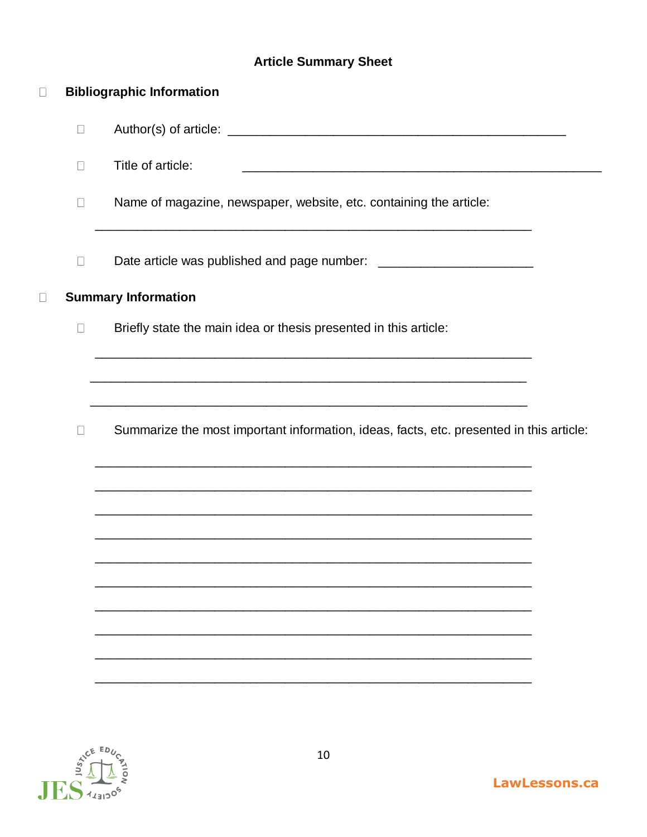# **Article Summary Sheet**

| $\Box$ |        | <b>Bibliographic Information</b>                                                                                                                                                            |  |  |  |  |
|--------|--------|---------------------------------------------------------------------------------------------------------------------------------------------------------------------------------------------|--|--|--|--|
|        | $\Box$ |                                                                                                                                                                                             |  |  |  |  |
|        | $\Box$ | Title of article:<br><u> 1989 - Johann John Stone, mars eta biztanleria (h. 1989).</u>                                                                                                      |  |  |  |  |
|        | $\Box$ | Name of magazine, newspaper, website, etc. containing the article:<br><u> 1989 - Johann Harry Harry Harry Harry Harry Harry Harry Harry Harry Harry Harry Harry Harry Harry Harry Harry</u> |  |  |  |  |
|        | $\Box$ |                                                                                                                                                                                             |  |  |  |  |
| $\Box$ |        | <b>Summary Information</b>                                                                                                                                                                  |  |  |  |  |
|        | $\Box$ | Briefly state the main idea or thesis presented in this article:                                                                                                                            |  |  |  |  |
|        |        | <u> 1989 - Johann Harry Harry Harry Harry Harry Harry Harry Harry Harry Harry Harry Harry Harry Harry Harry Harry</u>                                                                       |  |  |  |  |
|        | $\Box$ | Summarize the most important information, ideas, facts, etc. presented in this article:                                                                                                     |  |  |  |  |
|        |        | <u> 1989 - Johann Harry Harry Harry Harry Harry Harry Harry Harry Harry Harry Harry Harry Harry Harry Harry Harry</u><br><u> 1989 - Johann Stoff, amerikansk politiker (d. 1989)</u>        |  |  |  |  |
|        |        |                                                                                                                                                                                             |  |  |  |  |
|        |        |                                                                                                                                                                                             |  |  |  |  |
|        |        |                                                                                                                                                                                             |  |  |  |  |
|        |        |                                                                                                                                                                                             |  |  |  |  |
|        |        |                                                                                                                                                                                             |  |  |  |  |

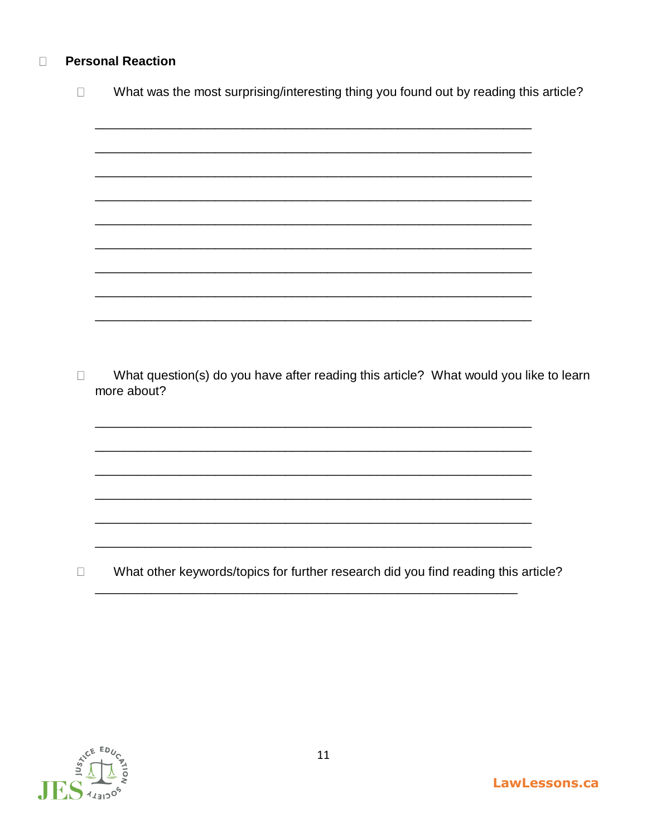#### **Personal Reaction**  $\Box$

| $\perp$ | What was the most surprising/interesting thing you found out by reading this article?                |
|---------|------------------------------------------------------------------------------------------------------|
|         |                                                                                                      |
|         |                                                                                                      |
|         |                                                                                                      |
|         |                                                                                                      |
|         |                                                                                                      |
|         |                                                                                                      |
|         |                                                                                                      |
|         |                                                                                                      |
| $\Box$  | What question(s) do you have after reading this article? What would you like to learn<br>more about? |
|         |                                                                                                      |
|         |                                                                                                      |
|         |                                                                                                      |
|         |                                                                                                      |
|         |                                                                                                      |
| П       | What other keywords/topics for further research did you find reading this article?                   |
|         |                                                                                                      |

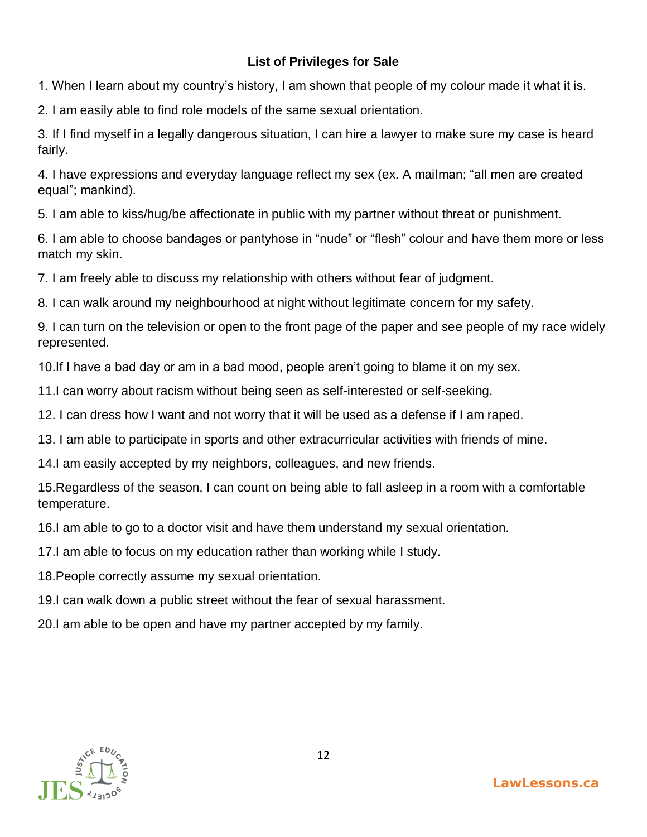# **List of Privileges for Sale**

1. When I learn about my country's history, I am shown that people of my colour made it what it is.

2. I am easily able to find role models of the same sexual orientation.

3. If I find myself in a legally dangerous situation, I can hire a lawyer to make sure my case is heard fairly.

4. I have expressions and everyday language reflect my sex (ex. A mailman; "all men are created equal"; mankind).

5. I am able to kiss/hug/be affectionate in public with my partner without threat or punishment.

6. I am able to choose bandages or pantyhose in "nude" or "flesh" colour and have them more or less match my skin.

7. I am freely able to discuss my relationship with others without fear of judgment.

8. I can walk around my neighbourhood at night without legitimate concern for my safety.

9. I can turn on the television or open to the front page of the paper and see people of my race widely represented.

10.If I have a bad day or am in a bad mood, people aren't going to blame it on my sex.

11.I can worry about racism without being seen as self-interested or self-seeking.

12. I can dress how I want and not worry that it will be used as a defense if I am raped.

13. I am able to participate in sports and other extracurricular activities with friends of mine.

14.I am easily accepted by my neighbors, colleagues, and new friends.

15.Regardless of the season, I can count on being able to fall asleep in a room with a comfortable temperature.

16.I am able to go to a doctor visit and have them understand my sexual orientation.

17.I am able to focus on my education rather than working while I study.

18.People correctly assume my sexual orientation.

19.I can walk down a public street without the fear of sexual harassment.

20.I am able to be open and have my partner accepted by my family.

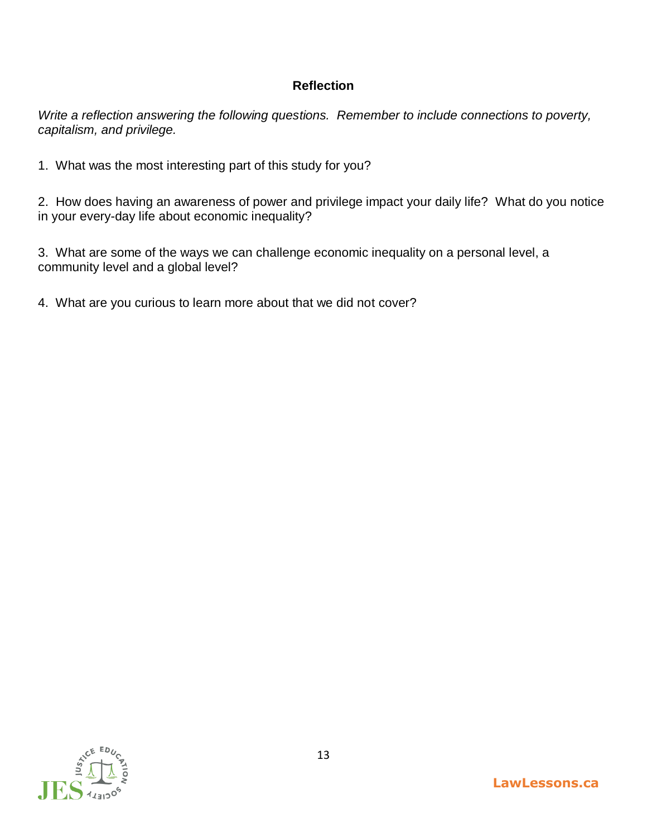# **Reflection**

*Write a reflection answering the following questions. Remember to include connections to poverty, capitalism, and privilege.* 

1. What was the most interesting part of this study for you?

2. How does having an awareness of power and privilege impact your daily life? What do you notice in your every-day life about economic inequality?

3. What are some of the ways we can challenge economic inequality on a personal level, a community level and a global level?

4. What are you curious to learn more about that we did not cover?